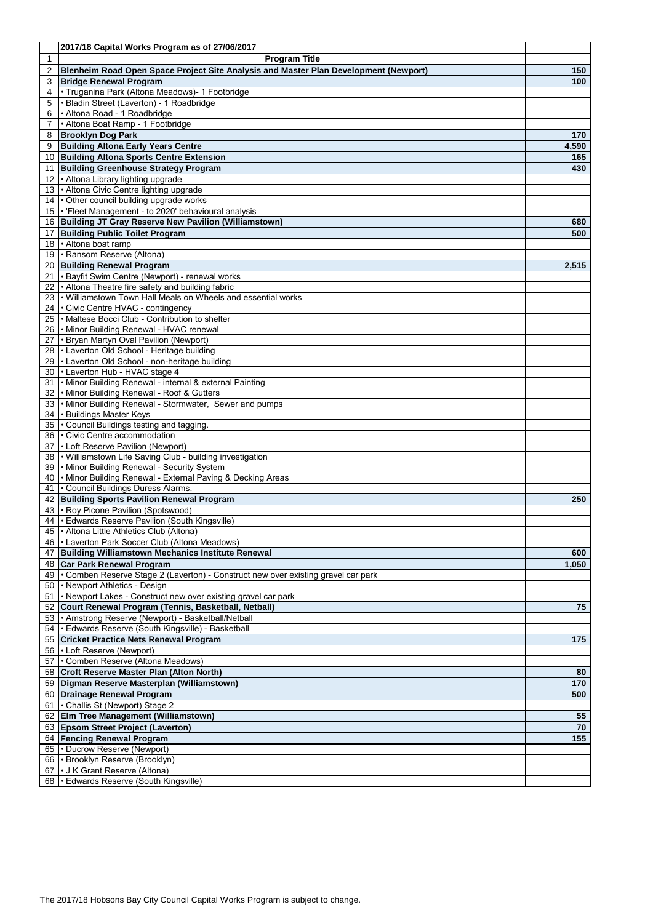|          | 2017/18 Capital Works Program as of 27/06/2017                                                           |                       |
|----------|----------------------------------------------------------------------------------------------------------|-----------------------|
| 1        | <b>Program Title</b>                                                                                     |                       |
| 2        | Blenheim Road Open Space Project Site Analysis and Master Plan Development (Newport)                     | 150                   |
| 3        | <b>Bridge Renewal Program</b>                                                                            | 100                   |
| 4<br>5   | · Truganina Park (Altona Meadows)- 1 Footbridge<br>Bladin Street (Laverton) - 1 Roadbridge               |                       |
| 6        | • Altona Road - 1 Roadbridge                                                                             |                       |
|          | • Altona Boat Ramp - 1 Footbridge                                                                        |                       |
| 8        | <b>Brooklyn Dog Park</b>                                                                                 | 170                   |
| 9        | <b>Building Altona Early Years Centre</b>                                                                | 4,590                 |
| 10       | <b>Building Altona Sports Centre Extension</b>                                                           | 165                   |
| 11       | <b>Building Greenhouse Strategy Program</b>                                                              | 430                   |
| 12       | . Altona Library lighting upgrade                                                                        |                       |
| 13       | . Altona Civic Centre lighting upgrade                                                                   |                       |
| 14<br>15 | • Other council building upgrade works<br>• 'Fleet Management - to 2020' behavioural analysis            |                       |
| 16       | <b>Building JT Gray Reserve New Pavilion (Williamstown)</b>                                              | 680                   |
| 17       | <b>Building Public Toilet Program</b>                                                                    | 500                   |
| 18       | . Altona boat ramp                                                                                       |                       |
| 19       | • Ransom Reserve (Altona)                                                                                |                       |
| 20       | <b>Building Renewal Program</b>                                                                          | 2,515                 |
| 21       | • Bayfit Swim Centre (Newport) - renewal works                                                           |                       |
| 22       | . Altona Theatre fire safety and building fabric                                                         |                       |
| 23       | . Williamstown Town Hall Meals on Wheels and essential works                                             |                       |
| 24<br>25 | • Civic Centre HVAC - contingency<br>• Maltese Bocci Club - Contribution to shelter                      |                       |
| 26       | Minor Building Renewal - HVAC renewal                                                                    |                       |
| 27       | • Bryan Martyn Oval Pavilion (Newport)                                                                   |                       |
| 28       | • Laverton Old School - Heritage building                                                                |                       |
| 29       | . Laverton Old School - non-heritage building                                                            |                       |
| 30       | - Laverton Hub - HVAC stage 4                                                                            |                       |
| 31       | • Minor Building Renewal - internal & external Painting                                                  |                       |
| 32       | Minor Building Renewal - Roof & Gutters                                                                  |                       |
| 33<br>34 | • Minor Building Renewal - Stormwater, Sewer and pumps<br>• Buildings Master Keys                        |                       |
| 35       | • Council Buildings testing and tagging.                                                                 |                       |
| 36       | <b>- Civic Centre accommodation</b>                                                                      |                       |
| 37       | • Loft Reserve Pavilion (Newport)                                                                        |                       |
| 38       | • Williamstown Life Saving Club - building investigation                                                 |                       |
| 39       | • Minor Building Renewal - Security System                                                               |                       |
| 40       | • Minor Building Renewal - External Paving & Decking Areas                                               |                       |
| 41       | • Council Buildings Duress Alarms.                                                                       |                       |
| 42<br>43 | <b>Building Sports Pavilion Renewal Program</b><br>• Roy Picone Pavilion (Spotswood)                     | 250                   |
| 44       | • Edwards Reserve Pavilion (South Kingsville)                                                            |                       |
|          | 45 • Altona Little Athletics Club (Altona)                                                               |                       |
|          | 46   Laverton Park Soccer Club (Altona Meadows)                                                          |                       |
| 47       | <b>Building Williamstown Mechanics Institute Renewal</b>                                                 | 600                   |
| 48       | <b>Car Park Renewal Program</b>                                                                          | 1,050                 |
| 49       | • Comben Reserve Stage 2 (Laverton) - Construct new over existing gravel car park                        |                       |
| 50       | • Newport Athletics - Design                                                                             |                       |
| 51       | • Newport Lakes - Construct new over existing gravel car park                                            |                       |
| 52<br>53 | Court Renewal Program (Tennis, Basketball, Netball)<br>• Amstrong Reserve (Newport) - Basketball/Netball | 75                    |
| 54       | • Edwards Reserve (South Kingsville) - Basketball                                                        |                       |
| 55       | <b>Cricket Practice Nets Renewal Program</b>                                                             | 175                   |
| 56       | • Loft Reserve (Newport)                                                                                 |                       |
| 57       | • Comben Reserve (Altona Meadows)                                                                        |                       |
| 58       | <b>Croft Reserve Master Plan (Alton North)</b>                                                           | 80                    |
| 59       | Digman Reserve Masterplan (Williamstown)                                                                 | 170                   |
| 60       | <b>Drainage Renewal Program</b>                                                                          | 500                   |
| 61       | • Challis St (Newport) Stage 2                                                                           |                       |
| 62       | <b>Elm Tree Management (Williamstown)</b>                                                                | 55<br>$\overline{70}$ |
| 63       | <b>Epsom Street Project (Laverton)</b><br>64 Fencing Renewal Program                                     | 155                   |
| 65       | • Ducrow Reserve (Newport)                                                                               |                       |
| 66       | • Brooklyn Reserve (Brooklyn)                                                                            |                       |
| 67       | I J K Grant Reserve (Altona)                                                                             |                       |
|          | 68   Edwards Reserve (South Kingsville)                                                                  |                       |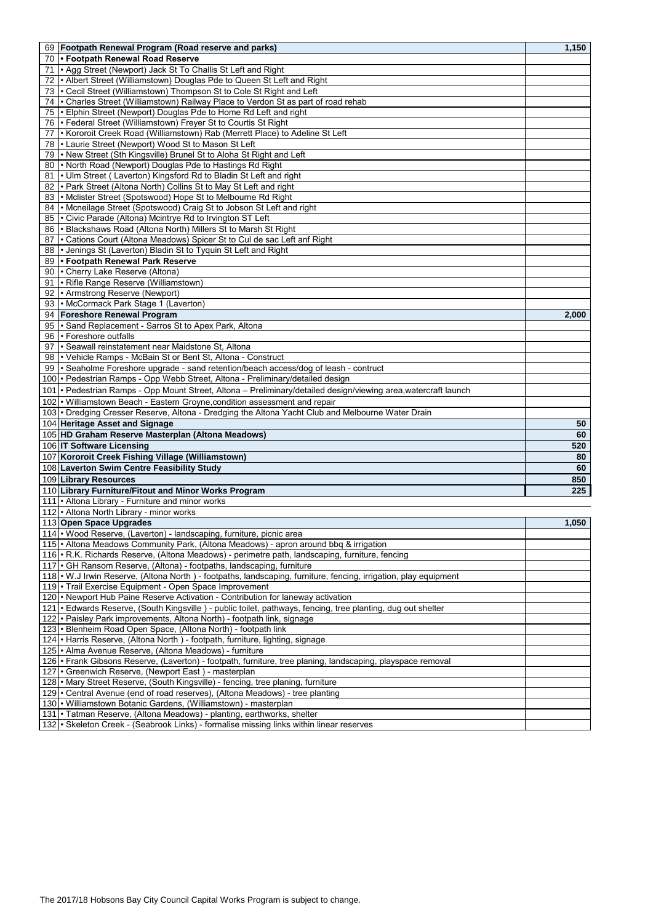| 69   Footpath Renewal Program (Road reserve and parks)                                                                  | 1,150 |
|-------------------------------------------------------------------------------------------------------------------------|-------|
| 70 • Footpath Renewal Road Reserve                                                                                      |       |
| • Agg Street (Newport) Jack St To Challis St Left and Right<br>71                                                       |       |
| • Albert Street (Williamstown) Douglas Pde to Queen St Left and Right<br>72                                             |       |
| 73   Cecil Street (Williamstown) Thompson St to Cole St Right and Left                                                  |       |
| 74   Charles Street (Williamstown) Railway Place to Verdon St as part of road rehab                                     |       |
| 75   Elphin Street (Newport) Douglas Pde to Home Rd Left and right                                                      |       |
| 76   Federal Street (Williamstown) Freyer St to Courtis St Right                                                        |       |
| • Kororoit Creek Road (Williamstown) Rab (Merrett Place) to Adeline St Left<br>77                                       |       |
| 78   Laurie Street (Newport) Wood St to Mason St Left                                                                   |       |
| 79   New Street (Sth Kingsville) Brunel St to Aloha St Right and Left                                                   |       |
| 80 • North Road (Newport) Douglas Pde to Hastings Rd Right                                                              |       |
| • Ulm Street (Laverton) Kingsford Rd to Bladin St Left and right<br>81                                                  |       |
| 82 • Park Street (Altona North) Collins St to May St Left and right                                                     |       |
| 83   Mclister Street (Spotswood) Hope St to Melbourne Rd Right                                                          |       |
| • Mcneilage Street (Spotswood) Craig St to Jobson St Left and right<br>84                                               |       |
| 85 • Civic Parade (Altona) Mcintrye Rd to Irvington ST Left                                                             |       |
| 86   Blackshaws Road (Altona North) Millers St to Marsh St Right                                                        |       |
| 87   Cations Court (Altona Meadows) Spicer St to Cul de sac Left anf Right                                              |       |
| • Jenings St (Laverton) Bladin St to Tyquin St Left and Right<br>88                                                     |       |
| 89 • Footpath Renewal Park Reserve                                                                                      |       |
| 90 • Cherry Lake Reserve (Altona)                                                                                       |       |
| • Rifle Range Reserve (Williamstown)<br>91                                                                              |       |
| 92 • Armstrong Reserve (Newport)                                                                                        |       |
| 93 • McCormack Park Stage 1 (Laverton)                                                                                  |       |
| 94 Foreshore Renewal Program                                                                                            | 2,000 |
| 95 • Sand Replacement - Sarros St to Apex Park, Altona                                                                  |       |
| 96 • Foreshore outfalls                                                                                                 |       |
| • Seawall reinstatement near Maidstone St, Altona<br>97                                                                 |       |
| 98 • Vehicle Ramps - McBain St or Bent St, Altona - Construct                                                           |       |
| 99   Seaholme Foreshore upgrade - sand retention/beach access/dog of leash - contruct                                   |       |
| 100 <sup> </sup> Pedestrian Ramps - Opp Webb Street, Altona - Preliminary/detailed design                               |       |
| 101 • Pedestrian Ramps - Opp Mount Street, Altona – Preliminary/detailed design/viewing area,watercraft launch          |       |
| 102 • Williamstown Beach - Eastern Groyne, condition assessment and repair                                              |       |
| 103 <sup> </sup> Dredging Cresser Reserve, Altona - Dredging the Altona Yacht Club and Melbourne Water Drain            |       |
| 104 Heritage Asset and Signage                                                                                          | 50    |
| 105 HD Graham Reserve Masterplan (Altona Meadows)                                                                       | 60    |
| 106 IT Software Licensing                                                                                               | 520   |
| 107 Kororoit Creek Fishing Village (Williamstown)                                                                       | 80    |
| 108 Laverton Swim Centre Feasibility Study                                                                              | 60    |
| 109 Library Resources                                                                                                   | 850   |
| 110 Library Furniture/Fitout and Minor Works Program                                                                    | 225   |
| 111   Altona Library - Furniture and minor works                                                                        |       |
| 112 • Altona North Library - minor works                                                                                |       |
| 113 Open Space Upgrades                                                                                                 | 1,050 |
| 114 . Wood Reserve, (Laverton) - landscaping, furniture, picnic area                                                    |       |
| 115  • Altona Meadows Community Park, (Altona Meadows) - apron around bbq & irrigation                                  |       |
| 116   R.K. Richards Reserve, (Altona Meadows) - perimetre path, landscaping, furniture, fencing                         |       |
| 117   GH Ransom Reserve, (Altona) - footpaths, landscaping, furniture                                                   |       |
| 118 . W.J Irwin Reserve, (Altona North) - footpaths, landscaping, furniture, fencing, irrigation, play equipment        |       |
| 119   Trail Exercise Equipment - Open Space Improvement                                                                 |       |
| 120 <sup>•</sup> Newport Hub Paine Reserve Activation - Contribution for laneway activation                             |       |
| 121 <sup>•</sup> Edwards Reserve, (South Kingsville) - public toilet, pathways, fencing, tree planting, dug out shelter |       |
| 122   • Paisley Park improvements, Altona North) - footpath link, signage                                               |       |
| 123 • Blenheim Road Open Space, (Altona North) - footpath link                                                          |       |
| 124   Harris Reserve, (Altona North) - footpath, furniture, lighting, signage                                           |       |
| 125 <sup> •</sup> Alma Avenue Reserve, (Altona Meadows) - furniture                                                     |       |
| 126 <sup> </sup> Frank Gibsons Reserve, (Laverton) - footpath, furniture, tree planing, landscaping, playspace removal  |       |
| 127   Greenwich Reserve, (Newport East) - masterplan                                                                    |       |
| 128 • Mary Street Reserve, (South Kingsville) - fencing, tree planing, furniture                                        |       |
| 129   Central Avenue (end of road reserves), (Altona Meadows) - tree planting                                           |       |
| 130 • Williamstown Botanic Gardens, (Williamstown) - masterplan                                                         |       |
| 131   Tatman Reserve, (Altona Meadows) - planting, earthworks, shelter                                                  |       |
| 132   • Skeleton Creek - (Seabrook Links) - formalise missing links within linear reserves                              |       |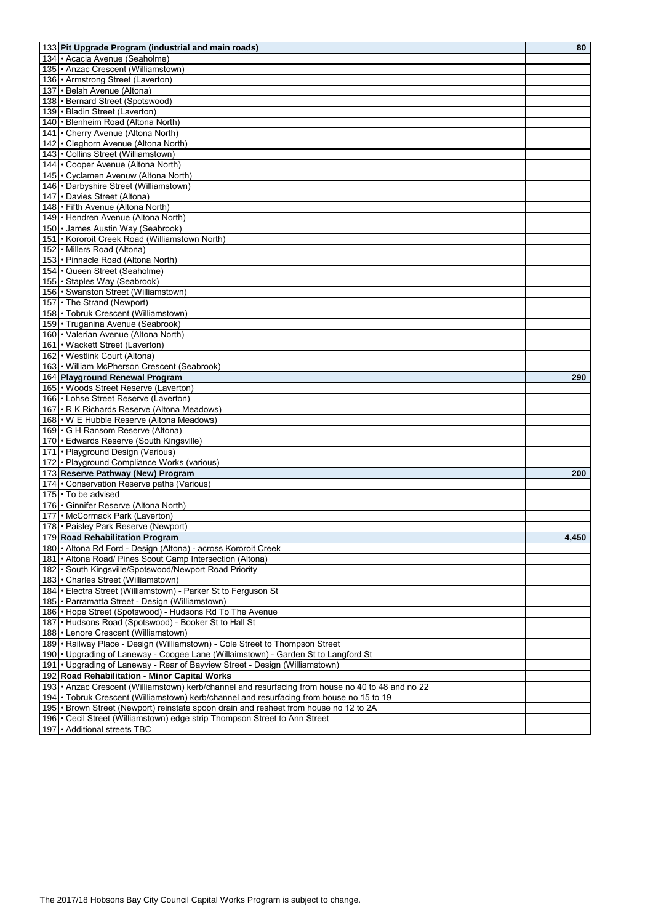| 133 Pit Upgrade Program (industrial and main roads)                                               | 80    |
|---------------------------------------------------------------------------------------------------|-------|
| 134   Acacia Avenue (Seaholme)                                                                    |       |
| 135   Anzac Crescent (Williamstown)                                                               |       |
|                                                                                                   |       |
| 136   Armstrong Street (Laverton)                                                                 |       |
| 137   Belah Avenue (Altona)                                                                       |       |
| 138   · Bernard Street (Spotswood)                                                                |       |
| 139   Bladin Street (Laverton)                                                                    |       |
| 140   Blenheim Road (Altona North)                                                                |       |
| 141   Cherry Avenue (Altona North)                                                                |       |
| 142   Cleghorn Avenue (Altona North)                                                              |       |
| 143 · Collins Street (Williamstown)                                                               |       |
| 144   Cooper Avenue (Altona North)                                                                |       |
| 145   Cyclamen Avenuw (Altona North)                                                              |       |
| 146   Darbyshire Street (Williamstown)                                                            |       |
| 147 • Davies Street (Altona)                                                                      |       |
| 148   Fifth Avenue (Altona North)                                                                 |       |
| 149   Hendren Avenue (Altona North)                                                               |       |
| 150 · James Austin Way (Seabrook)                                                                 |       |
| 151   Kororoit Creek Road (Williamstown North)                                                    |       |
| 152 • Millers Road (Altona)                                                                       |       |
| 153   • Pinnacle Road (Altona North)                                                              |       |
| 154   Queen Street (Seaholme)                                                                     |       |
| 155 · Staples Way (Seabrook)                                                                      |       |
|                                                                                                   |       |
| 156   · Swanston Street (Williamstown)                                                            |       |
| 157 • The Strand (Newport)                                                                        |       |
| 158 • Tobruk Crescent (Williamstown)                                                              |       |
| 159 · Truganina Avenue (Seabrook)                                                                 |       |
| 160 · Valerian Avenue (Altona North)                                                              |       |
| 161   • Wackett Street (Laverton)                                                                 |       |
| 162 • Westlink Court (Altona)                                                                     |       |
| 163 • William McPherson Crescent (Seabrook)                                                       |       |
| 164 Playground Renewal Program                                                                    | 290   |
| 165 . Woods Street Reserve (Laverton)                                                             |       |
| 166   • Lohse Street Reserve (Laverton)                                                           |       |
| 167   R K Richards Reserve (Altona Meadows)                                                       |       |
| 168   • W E Hubble Reserve (Altona Meadows)                                                       |       |
| 169 • G H Ransom Reserve (Altona)                                                                 |       |
| 170   Edwards Reserve (South Kingsville)                                                          |       |
|                                                                                                   |       |
| 171   • Playground Design (Various)                                                               |       |
| 172 • Playground Compliance Works (various)                                                       |       |
| 173 Reserve Pathway (New) Program                                                                 | 200   |
| 174   Conservation Reserve paths (Various)                                                        |       |
| 175 • To be advised                                                                               |       |
| 176 · Ginnifer Reserve (Altona North)                                                             |       |
| 177   McCormack Park (Laverton)                                                                   |       |
| 178   • Paisley Park Reserve (Newport)                                                            |       |
| 179 Road Rehabilitation Program                                                                   | 4,450 |
| 180   • Altona Rd Ford - Design (Altona) - across Kororoit Creek                                  |       |
| 181   Altona Road/ Pines Scout Camp Intersection (Altona)                                         |       |
| 182 • South Kingsville/Spotswood/Newport Road Priority                                            |       |
| 183   Charles Street (Williamstown)                                                               |       |
| 184   Electra Street (Williamstown) - Parker St to Ferguson St                                    |       |
|                                                                                                   |       |
| 185   • Parramatta Street - Design (Williamstown)                                                 |       |
| 186   Hope Street (Spotswood) - Hudsons Rd To The Avenue                                          |       |
| 187   Hudsons Road (Spotswood) - Booker St to Hall St                                             |       |
| 188   • Lenore Crescent (Williamstown)                                                            |       |
| 189   Railway Place - Design (Williamstown) - Cole Street to Thompson Street                      |       |
| 190 • Upgrading of Laneway - Coogee Lane (Willaimstown) - Garden St to Langford St                |       |
| 191 • Upgrading of Laneway - Rear of Bayview Street - Design (Williamstown)                       |       |
| 192 Road Rehabilitation - Minor Capital Works                                                     |       |
| 193 • Anzac Crescent (Williamstown) kerb/channel and resurfacing from house no 40 to 48 and no 22 |       |
| 194 • Tobruk Crescent (Williamstown) kerb/channel and resurfacing from house no 15 to 19          |       |
| 195 • Brown Street (Newport) reinstate spoon drain and resheet from house no 12 to 2A             |       |
| 196   Cecil Street (Williamstown) edge strip Thompson Street to Ann Street                        |       |
| 197   Additional streets TBC                                                                      |       |
|                                                                                                   |       |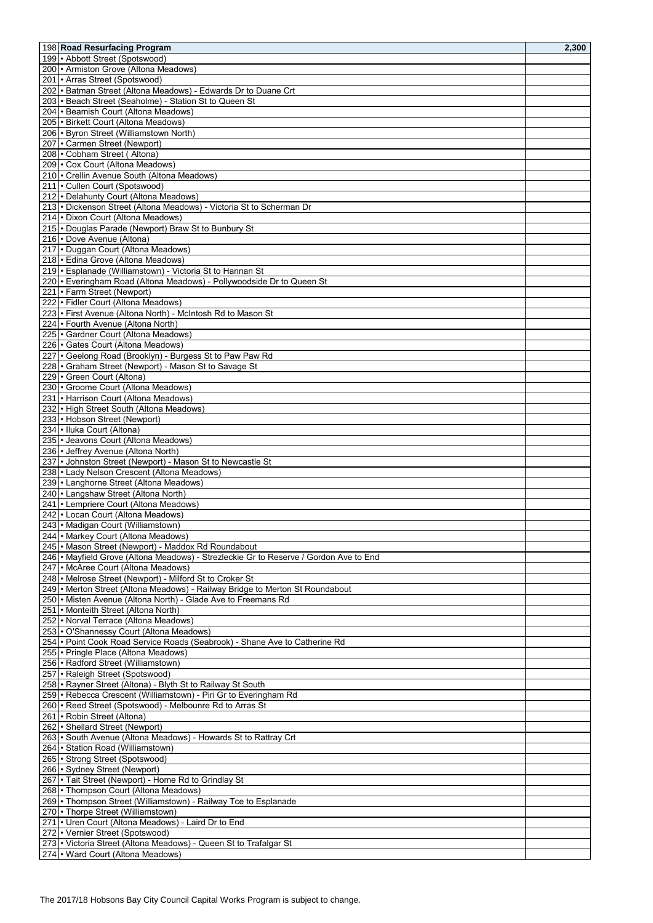|                                                                                        | 2,300 |
|----------------------------------------------------------------------------------------|-------|
| 198 Road Resurfacing Program                                                           |       |
| 199   • Abbott Street (Spotswood)                                                      |       |
| 200 • Armiston Grove (Altona Meadows)                                                  |       |
| 201   Arras Street (Spotswood)                                                         |       |
| 202   Batman Street (Altona Meadows) - Edwards Dr to Duane Crt                         |       |
| 203   Beach Street (Seaholme) - Station St to Queen St                                 |       |
| 204   · Beamish Court (Altona Meadows)                                                 |       |
| 205 • Birkett Court (Altona Meadows)                                                   |       |
| 206 • Byron Street (Williamstown North)                                                |       |
| 207 <sup>-</sup> Carmen Street (Newport)                                               |       |
| 208   Cobham Street (Altona)                                                           |       |
| 209   Cox Court (Altona Meadows)                                                       |       |
| 210 • Crellin Avenue South (Altona Meadows)                                            |       |
| 211   Cullen Court (Spotswood)                                                         |       |
| 212 • Delahunty Court (Altona Meadows)                                                 |       |
| 213 • Dickenson Street (Altona Meadows) - Victoria St to Scherman Dr                   |       |
| 214 • Dixon Court (Altona Meadows)                                                     |       |
|                                                                                        |       |
| 215 • Douglas Parade (Newport) Braw St to Bunbury St                                   |       |
| 216 • Dove Avenue (Altona)                                                             |       |
| 217 • Duggan Court (Altona Meadows)                                                    |       |
| 218   Edina Grove (Altona Meadows)                                                     |       |
| 219   Esplanade (Williamstown) - Victoria St to Hannan St                              |       |
| 220   Everingham Road (Altona Meadows) - Pollywoodside Dr to Queen St                  |       |
| 221   Farm Street (Newport)                                                            |       |
| 222   Fidler Court (Altona Meadows)                                                    |       |
| 223   First Avenue (Altona North) - McIntosh Rd to Mason St                            |       |
| 224 • Fourth Avenue (Altona North)                                                     |       |
| 225   Gardner Court (Altona Meadows)                                                   |       |
| 226   Gates Court (Altona Meadows)                                                     |       |
| 227   Geelong Road (Brooklyn) - Burgess St to Paw Paw Rd                               |       |
| 228   Graham Street (Newport) - Mason St to Savage St                                  |       |
| 229   Green Court (Altona)                                                             |       |
|                                                                                        |       |
| 230   Groome Court (Altona Meadows)                                                    |       |
| 231   Harrison Court (Altona Meadows)                                                  |       |
| 232   High Street South (Altona Meadows)                                               |       |
| 233   Hobson Street (Newport)                                                          |       |
| 234 · Iluka Court (Altona)                                                             |       |
| 235   • Jeavons Court (Altona Meadows)                                                 |       |
| 236   Jeffrey Avenue (Altona North)                                                    |       |
| 237   Johnston Street (Newport) - Mason St to Newcastle St                             |       |
| 238   • Lady Nelson Crescent (Altona Meadows)                                          |       |
| 239   • Langhorne Street (Altona Meadows)                                              |       |
| 240   • Langshaw Street (Altona North)                                                 |       |
| 241   • Lempriere Court (Altona Meadows)                                               |       |
| 242   Locan Court (Altona Meadows)                                                     |       |
| 243   Madigan Court (Williamstown)                                                     |       |
| 244   Markey Court (Altona Meadows)                                                    |       |
| 245 • Mason Street (Newport) - Maddox Rd Roundabout                                    |       |
| 246  • Mayfield Grove (Altona Meadows) - Strezleckie Gr to Reserve / Gordon Ave to End |       |
|                                                                                        |       |
| 247 • McAree Court (Altona Meadows)                                                    |       |
| 248 • Melrose Street (Newport) - Milford St to Croker St                               |       |
| 249   Merton Street (Altona Meadows) - Railway Bridge to Merton St Roundabout          |       |
| 250   Misten Avenue (Altona North) - Glade Ave to Freemans Rd                          |       |
| 251   Monteith Street (Altona North)                                                   |       |
| 252 • Norval Terrace (Altona Meadows)                                                  |       |
| 253 • O'Shannessy Court (Altona Meadows)                                               |       |
| 254   • Point Cook Road Service Roads (Seabrook) - Shane Ave to Catherine Rd           |       |
| 255   • Pringle Place (Altona Meadows)                                                 |       |
| 256   Radford Street (Williamstown)                                                    |       |
| 257   Raleigh Street (Spotswood)                                                       |       |
| 258   Rayner Street (Altona) - Blyth St to Railway St South                            |       |
| 259   Rebecca Crescent (Williamstown) - Piri Gr to Everingham Rd                       |       |
| 260   · Reed Street (Spotswood) - Melbounre Rd to Arras St                             |       |
|                                                                                        |       |
| 261   Robin Street (Altona)                                                            |       |
| 262   Shellard Street (Newport)                                                        |       |
| 263 • South Avenue (Altona Meadows) - Howards St to Rattray Crt                        |       |
| 264   Station Road (Williamstown)                                                      |       |
| 265   Strong Street (Spotswood)                                                        |       |
| 266   Sydney Street (Newport)                                                          |       |
| 267   Tait Street (Newport) - Home Rd to Grindlay St                                   |       |
| 268   Thompson Court (Altona Meadows)                                                  |       |
| 269   Thompson Street (Williamstown) - Railway Tce to Esplanade                        |       |
| 270 • Thorpe Street (Williamstown)                                                     |       |
| 271 • Uren Court (Altona Meadows) - Laird Dr to End                                    |       |
| 272 • Vernier Street (Spotswood)                                                       |       |
| 273 • Victoria Street (Altona Meadows) - Queen St to Trafalgar St                      |       |
| 274   Ward Court (Altona Meadows)                                                      |       |
|                                                                                        |       |